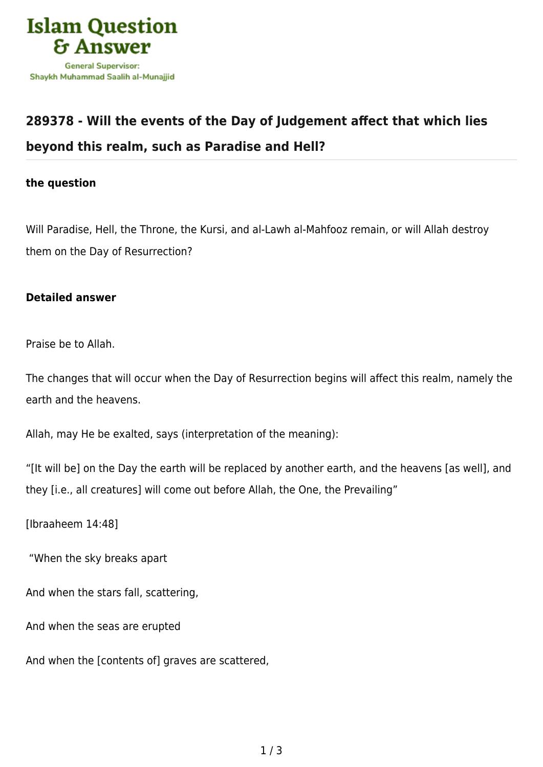

## **[289378 - Will the events of the Day of Judgement affect that which lies](https://islamqa.com/en/answers/289378/will-the-events-of-the-day-of-judgement-affect-that-which-lies-beyond-this-realm-such-as-paradise-and-hell) [beyond this realm, such as Paradise and Hell?](https://islamqa.com/en/answers/289378/will-the-events-of-the-day-of-judgement-affect-that-which-lies-beyond-this-realm-such-as-paradise-and-hell)**

## **the question**

Will Paradise, Hell, the Throne, the Kursi, and al-Lawh al-Mahfooz remain, or will Allah destroy them on the Day of Resurrection?

## **Detailed answer**

Praise be to Allah.

The changes that will occur when the Day of Resurrection begins will affect this realm, namely the earth and the heavens.

Allah, may He be exalted, says (interpretation of the meaning):

"[It will be] on the Day the earth will be replaced by another earth, and the heavens [as well], and they [i.e., all creatures] will come out before Allah, the One, the Prevailing"

[Ibraaheem 14:48]

"When the sky breaks apart

And when the stars fall, scattering,

And when the seas are erupted

And when the [contents of] graves are scattered,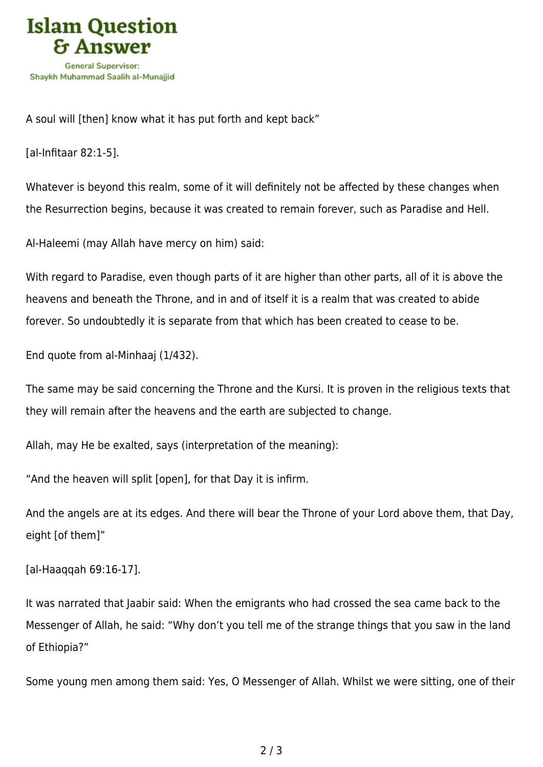

A soul will [then] know what it has put forth and kept back"

[al-Infitaar 82:1-5].

Whatever is beyond this realm, some of it will definitely not be affected by these changes when the Resurrection begins, because it was created to remain forever, such as Paradise and Hell.

Al-Haleemi (may Allah have mercy on him) said:

With regard to Paradise, even though parts of it are higher than other parts, all of it is above the heavens and beneath the Throne, and in and of itself it is a realm that was created to abide forever. So undoubtedly it is separate from that which has been created to cease to be.

End quote from al-Minhaaj (1/432).

The same may be said concerning the Throne and the Kursi. It is proven in the religious texts that they will remain after the heavens and the earth are subjected to change.

Allah, may He be exalted, says (interpretation of the meaning):

"And the heaven will split [open], for that Day it is infirm.

And the angels are at its edges. And there will bear the Throne of your Lord above them, that Day, eight [of them]"

[al-Haaqqah 69:16-17].

It was narrated that Jaabir said: When the emigrants who had crossed the sea came back to the Messenger of Allah, he said: "Why don't you tell me of the strange things that you saw in the land of Ethiopia?"

Some young men among them said: Yes, O Messenger of Allah. Whilst we were sitting, one of their